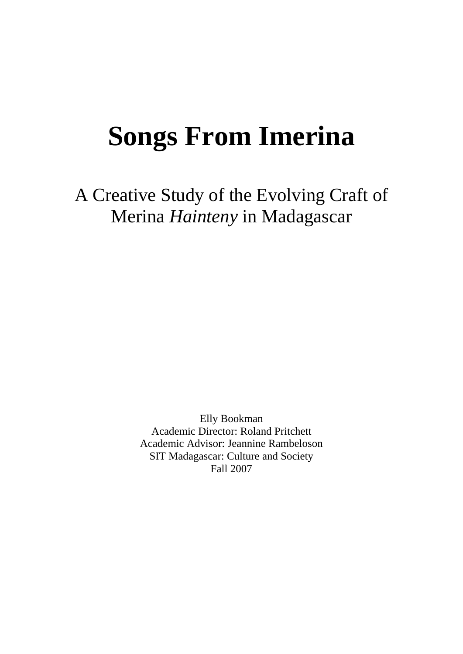# **Songs From Imerina**

A Creative Study of the Evolving Craft of Merina *Hainteny* in Madagascar

> Elly Bookman Academic Director: Roland Pritchett Academic Advisor: Jeannine Rambeloson SIT Madagascar: Culture and Society Fall 2007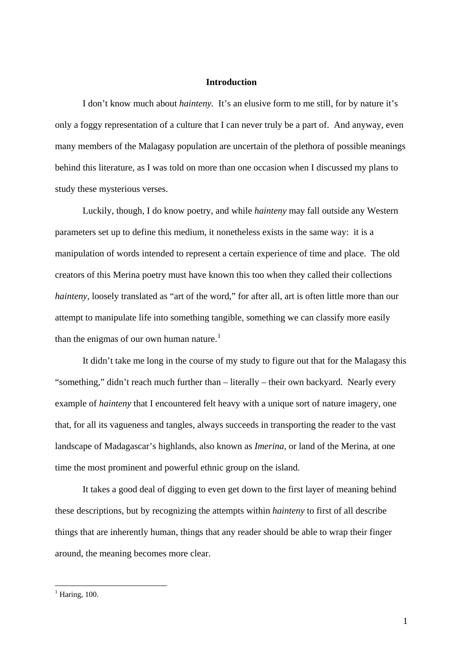### **Introduction**

I don't know much about *hainteny.* It's an elusive form to me still, for by nature it's only a foggy representation of a culture that I can never truly be a part of. And anyway, even many members of the Malagasy population are uncertain of the plethora of possible meanings behind this literature, as I was told on more than one occasion when I discussed my plans to study these mysterious verses.

 Luckily, though, I do know poetry, and while *hainteny* may fall outside any Western parameters set up to define this medium, it nonetheless exists in the same way: it is a manipulation of words intended to represent a certain experience of time and place. The old creators of this Merina poetry must have known this too when they called their collections *hainteny*, loosely translated as "art of the word," for after all, art is often little more than our attempt to manipulate life into something tangible, something we can classify more easily than the enigmas of our own human nature.<sup>[1](#page-1-0)</sup>

 It didn't take me long in the course of my study to figure out that for the Malagasy this "something," didn't reach much further than – literally – their own backyard. Nearly every example of *hainteny* that I encountered felt heavy with a unique sort of nature imagery, one that, for all its vagueness and tangles, always succeeds in transporting the reader to the vast landscape of Madagascar's highlands, also known as *Imerina,* or land of the Merina, at one time the most prominent and powerful ethnic group on the island.

 It takes a good deal of digging to even get down to the first layer of meaning behind these descriptions, but by recognizing the attempts within *hainteny* to first of all describe things that are inherently human, things that any reader should be able to wrap their finger around, the meaning becomes more clear.

<span id="page-1-0"></span> $<sup>1</sup>$  Haring, 100.</sup>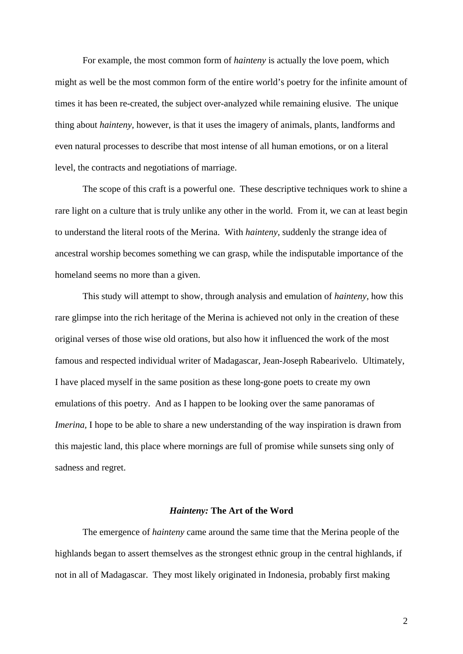For example, the most common form of *hainteny* is actually the love poem, which might as well be the most common form of the entire world's poetry for the infinite amount of times it has been re-created, the subject over-analyzed while remaining elusive. The unique thing about *hainteny,* however, is that it uses the imagery of animals, plants, landforms and even natural processes to describe that most intense of all human emotions, or on a literal level, the contracts and negotiations of marriage.

 The scope of this craft is a powerful one. These descriptive techniques work to shine a rare light on a culture that is truly unlike any other in the world. From it, we can at least begin to understand the literal roots of the Merina. With *hainteny,* suddenly the strange idea of ancestral worship becomes something we can grasp, while the indisputable importance of the homeland seems no more than a given.

 This study will attempt to show, through analysis and emulation of *hainteny,* how this rare glimpse into the rich heritage of the Merina is achieved not only in the creation of these original verses of those wise old orations, but also how it influenced the work of the most famous and respected individual writer of Madagascar, Jean-Joseph Rabearivelo. Ultimately, I have placed myself in the same position as these long-gone poets to create my own emulations of this poetry. And as I happen to be looking over the same panoramas of *Imerina*, I hope to be able to share a new understanding of the way inspiration is drawn from this majestic land, this place where mornings are full of promise while sunsets sing only of sadness and regret.

#### *Hainteny:* **The Art of the Word**

The emergence of *hainteny* came around the same time that the Merina people of the highlands began to assert themselves as the strongest ethnic group in the central highlands, if not in all of Madagascar. They most likely originated in Indonesia, probably first making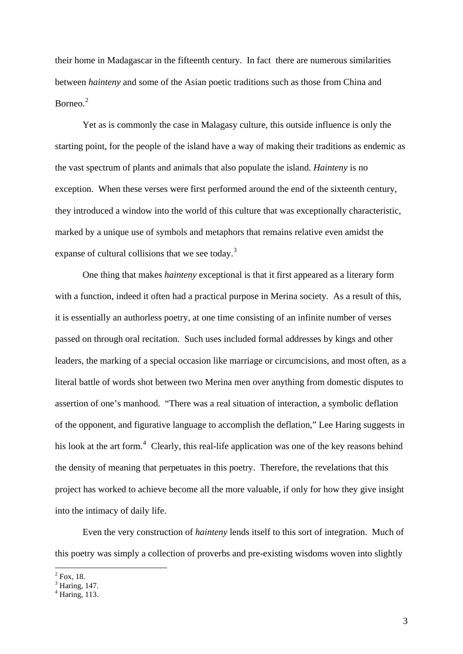their home in Madagascar in the fifteenth century. In fact there are numerous similarities between *hainteny* and some of the Asian poetic traditions such as those from China and Borneo.<sup>[2](#page-3-0)</sup>

 Yet as is commonly the case in Malagasy culture, this outside influence is only the starting point, for the people of the island have a way of making their traditions as endemic as the vast spectrum of plants and animals that also populate the island. *Hainteny* is no exception. When these verses were first performed around the end of the sixteenth century, they introduced a window into the world of this culture that was exceptionally characteristic, marked by a unique use of symbols and metaphors that remains relative even amidst the expanse of cultural collisions that we see today.<sup>[3](#page-3-1)</sup>

One thing that makes *hainteny* exceptional is that it first appeared as a literary form with a function, indeed it often had a practical purpose in Merina society. As a result of this, it is essentially an authorless poetry, at one time consisting of an infinite number of verses passed on through oral recitation. Such uses included formal addresses by kings and other leaders, the marking of a special occasion like marriage or circumcisions, and most often, as a literal battle of words shot between two Merina men over anything from domestic disputes to assertion of one's manhood. "There was a real situation of interaction, a symbolic deflation of the opponent, and figurative language to accomplish the deflation," Lee Haring suggests in his look at the art form.<sup>[4](#page-3-2)</sup> Clearly, this real-life application was one of the key reasons behind the density of meaning that perpetuates in this poetry. Therefore, the revelations that this project has worked to achieve become all the more valuable, if only for how they give insight into the intimacy of daily life.

Even the very construction of *hainteny* lends itself to this sort of integration. Much of this poetry was simply a collection of proverbs and pre-existing wisdoms woven into slightly

<span id="page-3-0"></span> $^{2}$  Fox, 18.

<span id="page-3-1"></span> $<sup>3</sup>$  Haring, 147.</sup>

<span id="page-3-2"></span><sup>4</sup> Haring, 113.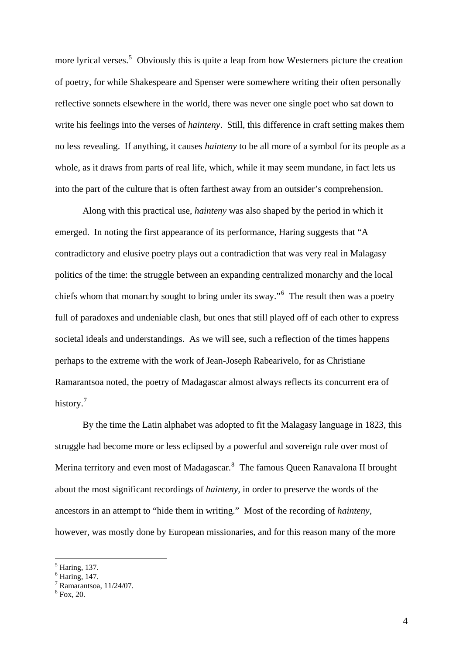more lyrical verses.<sup>[5](#page-4-0)</sup> Obviously this is quite a leap from how Westerners picture the creation of poetry, for while Shakespeare and Spenser were somewhere writing their often personally reflective sonnets elsewhere in the world, there was never one single poet who sat down to write his feelings into the verses of *hainteny*. Still, this difference in craft setting makes them no less revealing. If anything, it causes *hainteny* to be all more of a symbol for its people as a whole, as it draws from parts of real life, which, while it may seem mundane, in fact lets us into the part of the culture that is often farthest away from an outsider's comprehension.

Along with this practical use, *hainteny* was also shaped by the period in which it emerged. In noting the first appearance of its performance, Haring suggests that "A contradictory and elusive poetry plays out a contradiction that was very real in Malagasy politics of the time: the struggle between an expanding centralized monarchy and the local chiefs whom that monarchy sought to bring under its sway."<sup>[6](#page-4-1)</sup> The result then was a poetry full of paradoxes and undeniable clash, but ones that still played off of each other to express societal ideals and understandings. As we will see, such a reflection of the times happens perhaps to the extreme with the work of Jean-Joseph Rabearivelo, for as Christiane Ramarantsoa noted, the poetry of Madagascar almost always reflects its concurrent era of history.<sup>[7](#page-4-2)</sup>

By the time the Latin alphabet was adopted to fit the Malagasy language in 1823, this struggle had become more or less eclipsed by a powerful and sovereign rule over most of Merina territory and even most of Madagascar.<sup>[8](#page-4-3)</sup> The famous Queen Ranavalona II brought about the most significant recordings of *hainteny,* in order to preserve the words of the ancestors in an attempt to "hide them in writing." Most of the recording of *hainteny,*  however, was mostly done by European missionaries, and for this reason many of the more

<span id="page-4-0"></span><sup>5</sup> Haring, 137.

<span id="page-4-1"></span> $<sup>6</sup>$  Haring, 147.</sup>

<span id="page-4-2"></span><sup>7</sup> Ramarantsoa, 11/24/07.

<span id="page-4-3"></span> $8$  Fox, 20.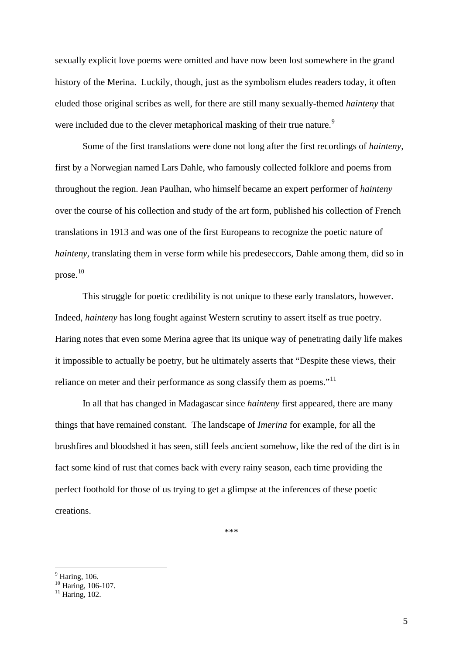sexually explicit love poems were omitted and have now been lost somewhere in the grand history of the Merina. Luckily, though, just as the symbolism eludes readers today, it often eluded those original scribes as well, for there are still many sexually-themed *hainteny* that were included due to the clever metaphorical masking of their true nature.<sup>[9](#page-5-0)</sup>

Some of the first translations were done not long after the first recordings of *hainteny,*  first by a Norwegian named Lars Dahle, who famously collected folklore and poems from throughout the region. Jean Paulhan, who himself became an expert performer of *hainteny*  over the course of his collection and study of the art form, published his collection of French translations in 1913 and was one of the first Europeans to recognize the poetic nature of *hainteny*, translating them in verse form while his predeseccors, Dahle among them, did so in prose.[10](#page-5-1)

This struggle for poetic credibility is not unique to these early translators, however. Indeed, *hainteny* has long fought against Western scrutiny to assert itself as true poetry. Haring notes that even some Merina agree that its unique way of penetrating daily life makes it impossible to actually be poetry, but he ultimately asserts that "Despite these views, their reliance on meter and their performance as song classify them as poems."<sup>[11](#page-5-2)</sup>

In all that has changed in Madagascar since *hainteny* first appeared, there are many things that have remained constant. The landscape of *Imerina* for example, for all the brushfires and bloodshed it has seen, still feels ancient somehow, like the red of the dirt is in fact some kind of rust that comes back with every rainy season, each time providing the perfect foothold for those of us trying to get a glimpse at the inferences of these poetic creations.

\*\*\*

<sup>&</sup>lt;sup>9</sup> Haring, 106.

<span id="page-5-1"></span><span id="page-5-0"></span><sup>&</sup>lt;sup>10</sup> Haring, 106-107.

<span id="page-5-2"></span> $11$  Haring,  $102$ .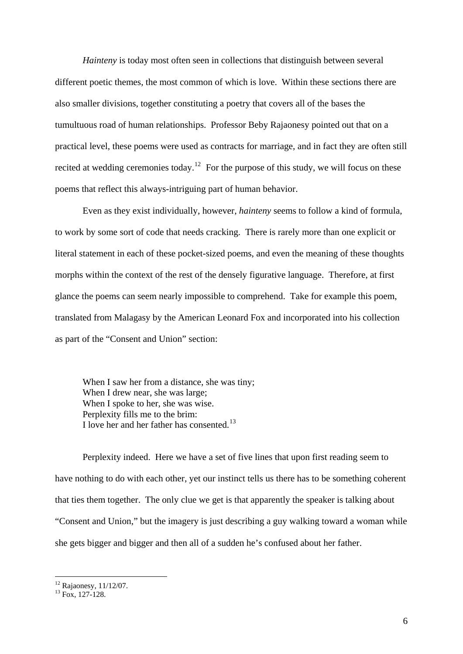*Hainteny* is today most often seen in collections that distinguish between several different poetic themes, the most common of which is love. Within these sections there are also smaller divisions, together constituting a poetry that covers all of the bases the tumultuous road of human relationships. Professor Beby Rajaonesy pointed out that on a practical level, these poems were used as contracts for marriage, and in fact they are often still recited at wedding ceremonies today.<sup>[12](#page-6-0)</sup> For the purpose of this study, we will focus on these poems that reflect this always-intriguing part of human behavior.

Even as they exist individually, however, *hainteny* seems to follow a kind of formula, to work by some sort of code that needs cracking. There is rarely more than one explicit or literal statement in each of these pocket-sized poems, and even the meaning of these thoughts morphs within the context of the rest of the densely figurative language. Therefore, at first glance the poems can seem nearly impossible to comprehend. Take for example this poem, translated from Malagasy by the American Leonard Fox and incorporated into his collection as part of the "Consent and Union" section:

 When I saw her from a distance, she was tiny; When I drew near, she was large; When I spoke to her, she was wise. Perplexity fills me to the brim: I love her and her father has consented.[13](#page-6-1)

 Perplexity indeed. Here we have a set of five lines that upon first reading seem to have nothing to do with each other, yet our instinct tells us there has to be something coherent that ties them together. The only clue we get is that apparently the speaker is talking about "Consent and Union," but the imagery is just describing a guy walking toward a woman while she gets bigger and bigger and then all of a sudden he's confused about her father.

<span id="page-6-0"></span><sup>12</sup> Rajaonesy, 11/12/07.

<span id="page-6-1"></span> $13 \text{ Fox}$ , 127-128.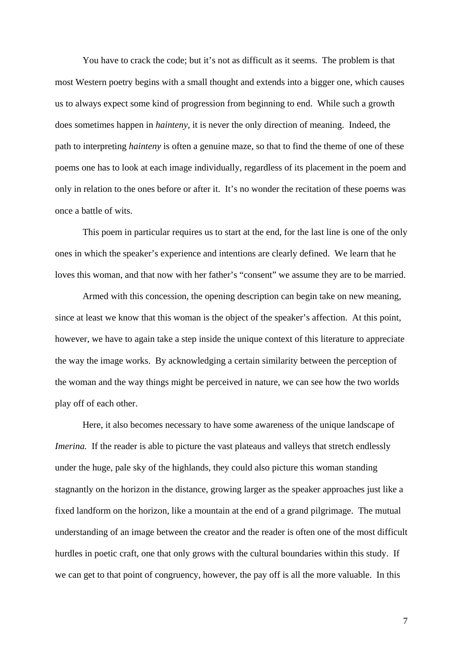You have to crack the code; but it's not as difficult as it seems. The problem is that most Western poetry begins with a small thought and extends into a bigger one, which causes us to always expect some kind of progression from beginning to end. While such a growth does sometimes happen in *hainteny,* it is never the only direction of meaning. Indeed, the path to interpreting *hainteny* is often a genuine maze, so that to find the theme of one of these poems one has to look at each image individually, regardless of its placement in the poem and only in relation to the ones before or after it. It's no wonder the recitation of these poems was once a battle of wits.

 This poem in particular requires us to start at the end, for the last line is one of the only ones in which the speaker's experience and intentions are clearly defined. We learn that he loves this woman, and that now with her father's "consent" we assume they are to be married.

 Armed with this concession, the opening description can begin take on new meaning, since at least we know that this woman is the object of the speaker's affection. At this point, however, we have to again take a step inside the unique context of this literature to appreciate the way the image works. By acknowledging a certain similarity between the perception of the woman and the way things might be perceived in nature, we can see how the two worlds play off of each other.

 Here, it also becomes necessary to have some awareness of the unique landscape of *Imerina.* If the reader is able to picture the vast plateaus and valleys that stretch endlessly under the huge, pale sky of the highlands, they could also picture this woman standing stagnantly on the horizon in the distance, growing larger as the speaker approaches just like a fixed landform on the horizon, like a mountain at the end of a grand pilgrimage. The mutual understanding of an image between the creator and the reader is often one of the most difficult hurdles in poetic craft, one that only grows with the cultural boundaries within this study. If we can get to that point of congruency, however, the pay off is all the more valuable. In this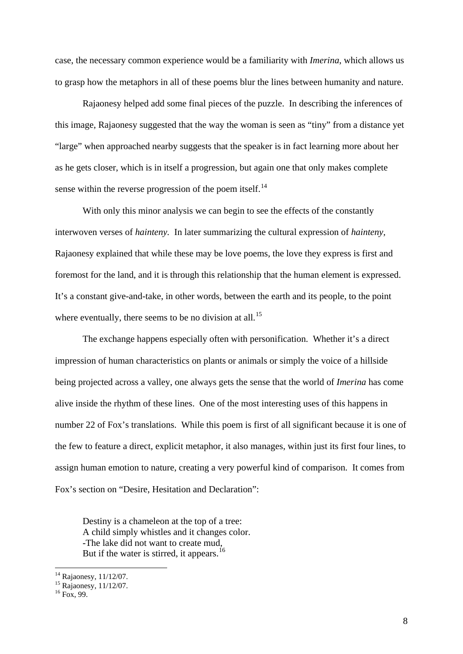case, the necessary common experience would be a familiarity with *Imerina*, which allows us to grasp how the metaphors in all of these poems blur the lines between humanity and nature.

 Rajaonesy helped add some final pieces of the puzzle. In describing the inferences of this image, Rajaonesy suggested that the way the woman is seen as "tiny" from a distance yet "large" when approached nearby suggests that the speaker is in fact learning more about her as he gets closer, which is in itself a progression, but again one that only makes complete sense within the reverse progression of the poem itself.<sup>[14](#page-8-0)</sup>

With only this minor analysis we can begin to see the effects of the constantly interwoven verses of *hainteny.* In later summarizing the cultural expression of *hainteny,*  Rajaonesy explained that while these may be love poems, the love they express is first and foremost for the land, and it is through this relationship that the human element is expressed. It's a constant give-and-take, in other words, between the earth and its people, to the point where eventually, there seems to be no division at all.<sup>[15](#page-8-1)</sup>

 The exchange happens especially often with personification.Whether it's a direct impression of human characteristics on plants or animals or simply the voice of a hillside being projected across a valley, one always gets the sense that the world of *Imerina* has come alive inside the rhythm of these lines. One of the most interesting uses of this happens in number 22 of Fox's translations. While this poem is first of all significant because it is one of the few to feature a direct, explicit metaphor, it also manages, within just its first four lines, to assign human emotion to nature, creating a very powerful kind of comparison. It comes from Fox's section on "Desire, Hesitation and Declaration":

 Destiny is a chameleon at the top of a tree: A child simply whistles and it changes color. -The lake did not want to create mud, But if the water is stirred, it appears.<sup>[16](#page-8-2)</sup>

<sup>&</sup>lt;sup>14</sup> Rajaonesy, 11/12/07.

<span id="page-8-1"></span><span id="page-8-0"></span><sup>&</sup>lt;sup>15</sup> Rajaonesy, 11/12/07.

<span id="page-8-2"></span> $16$  Fox, 99.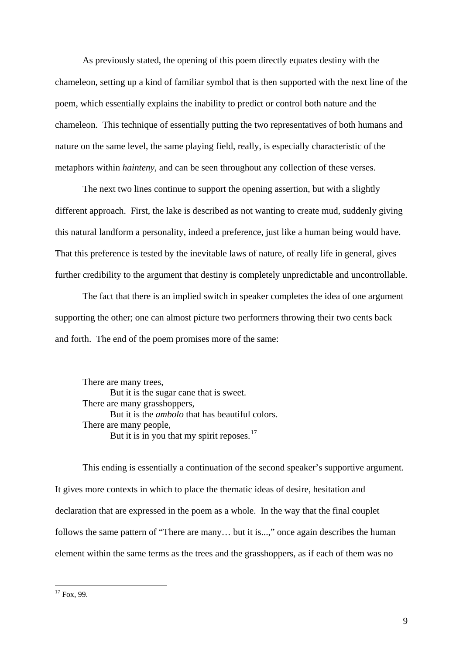As previously stated, the opening of this poem directly equates destiny with the chameleon, setting up a kind of familiar symbol that is then supported with the next line of the poem, which essentially explains the inability to predict or control both nature and the chameleon. This technique of essentially putting the two representatives of both humans and nature on the same level, the same playing field, really, is especially characteristic of the metaphors within *hainteny,* and can be seen throughout any collection of these verses.

 The next two lines continue to support the opening assertion, but with a slightly different approach. First, the lake is described as not wanting to create mud, suddenly giving this natural landform a personality, indeed a preference, just like a human being would have. That this preference is tested by the inevitable laws of nature, of really life in general, gives further credibility to the argument that destiny is completely unpredictable and uncontrollable.

The fact that there is an implied switch in speaker completes the idea of one argument supporting the other; one can almost picture two performers throwing their two cents back and forth. The end of the poem promises more of the same:

There are many trees, But it is the sugar cane that is sweet. There are many grasshoppers, But it is the *ambolo* that has beautiful colors. There are many people, But it is in you that my spirit reposes.<sup>[17](#page-9-0)</sup>

This ending is essentially a continuation of the second speaker's supportive argument. It gives more contexts in which to place the thematic ideas of desire, hesitation and declaration that are expressed in the poem as a whole. In the way that the final couplet follows the same pattern of "There are many... but it is...," once again describes the human element within the same terms as the trees and the grasshoppers, as if each of them was no

<span id="page-9-0"></span> $17$  Fox, 99.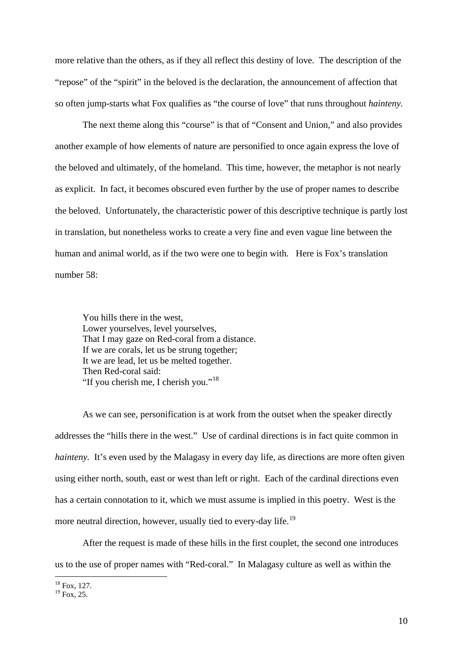more relative than the others, as if they all reflect this destiny of love. The description of the "repose" of the "spirit" in the beloved is the declaration, the announcement of affection that so often jump-starts what Fox qualifies as "the course of love" that runs throughout *hainteny.*

The next theme along this "course" is that of "Consent and Union," and also provides another example of how elements of nature are personified to once again express the love of the beloved and ultimately, of the homeland. This time, however, the metaphor is not nearly as explicit. In fact, it becomes obscured even further by the use of proper names to describe the beloved. Unfortunately, the characteristic power of this descriptive technique is partly lost in translation, but nonetheless works to create a very fine and even vague line between the human and animal world, as if the two were one to begin with. Here is Fox's translation number 58:

You hills there in the west, Lower yourselves, level yourselves, That I may gaze on Red-coral from a distance. If we are corals, let us be strung together; It we are lead, let us be melted together. Then Red-coral said: "If you cherish me, I cherish you."<sup>[18](#page-10-0)</sup>

As we can see, personification is at work from the outset when the speaker directly addresses the "hills there in the west." Use of cardinal directions is in fact quite common in *hainteny.* It's even used by the Malagasy in every day life, as directions are more often given using either north, south, east or west than left or right. Each of the cardinal directions even has a certain connotation to it, which we must assume is implied in this poetry. West is the more neutral direction, however, usually tied to every-day life.<sup>[19](#page-10-1)</sup>

After the request is made of these hills in the first couplet, the second one introduces us to the use of proper names with "Red-coral." In Malagasy culture as well as within the

1 <sup>18</sup> Fox, 127.

<span id="page-10-1"></span><span id="page-10-0"></span> $19$  Fox, 25.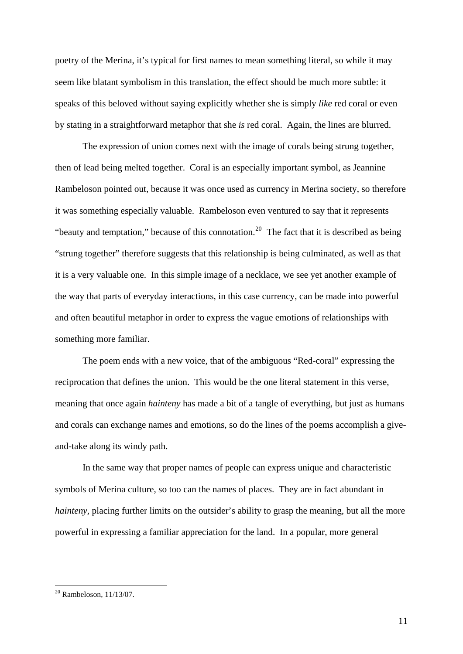poetry of the Merina, it's typical for first names to mean something literal, so while it may seem like blatant symbolism in this translation, the effect should be much more subtle: it speaks of this beloved without saying explicitly whether she is simply *like* red coral or even by stating in a straightforward metaphor that she *is* red coral. Again, the lines are blurred.

The expression of union comes next with the image of corals being strung together, then of lead being melted together. Coral is an especially important symbol, as Jeannine Rambeloson pointed out, because it was once used as currency in Merina society, so therefore it was something especially valuable. Rambeloson even ventured to say that it represents "beauty and temptation," because of this connotation.<sup>[20](#page-11-0)</sup> The fact that it is described as being "strung together" therefore suggests that this relationship is being culminated, as well as that it is a very valuable one. In this simple image of a necklace, we see yet another example of the way that parts of everyday interactions, in this case currency, can be made into powerful and often beautiful metaphor in order to express the vague emotions of relationships with something more familiar.

The poem ends with a new voice, that of the ambiguous "Red-coral" expressing the reciprocation that defines the union. This would be the one literal statement in this verse, meaning that once again *hainteny* has made a bit of a tangle of everything, but just as humans and corals can exchange names and emotions, so do the lines of the poems accomplish a giveand-take along its windy path.

In the same way that proper names of people can express unique and characteristic symbols of Merina culture, so too can the names of places. They are in fact abundant in *hainteny*, placing further limits on the outsider's ability to grasp the meaning, but all the more powerful in expressing a familiar appreciation for the land. In a popular, more general

<span id="page-11-0"></span> $20$  Rambeloson, 11/13/07.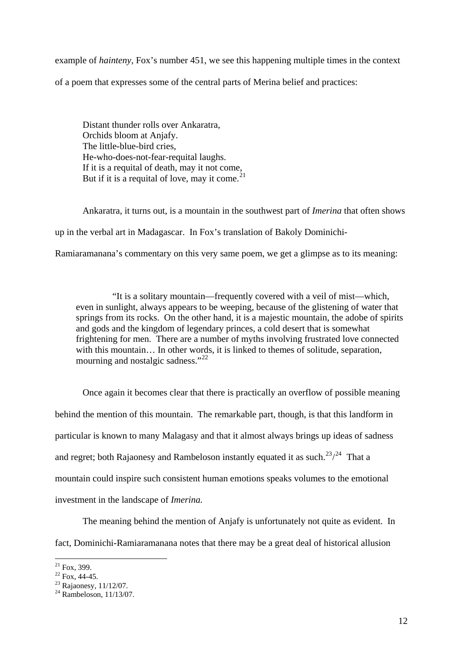example of *hainteny,* Fox's number 451, we see this happening multiple times in the context of a poem that expresses some of the central parts of Merina belief and practices:

Distant thunder rolls over Ankaratra, Orchids bloom at Anjafy. The little-blue-bird cries, He-who-does-not-fear-requital laughs. If it is a requital of death, may it not come, But if it is a requital of love, may it come.  $21$ 

Ankaratra, it turns out, is a mountain in the southwest part of *Imerina* that often shows up in the verbal art in Madagascar. In Fox's translation of Bakoly Dominichi-

Ramiaramanana's commentary on this very same poem, we get a glimpse as to its meaning:

 "It is a solitary mountain—frequently covered with a veil of mist—which, even in sunlight, always appears to be weeping, because of the glistening of water that springs from its rocks. On the other hand, it is a majestic mountain, the adobe of spirits and gods and the kingdom of legendary princes, a cold desert that is somewhat frightening for men. There are a number of myths involving frustrated love connected with this mountain... In other words, it is linked to themes of solitude, separation, mourning and nostalgic sadness."<sup>[22](#page-12-1)</sup>

Once again it becomes clear that there is practically an overflow of possible meaning behind the mention of this mountain. The remarkable part, though, is that this landform in particular is known to many Malagasy and that it almost always brings up ideas of sadness and regret; both Rajaonesy and Rambeloson instantly equated it as such.<sup>[23](#page-12-2)</sup>/<sup>[24](#page-12-3)</sup> That a mountain could inspire such consistent human emotions speaks volumes to the emotional investment in the landscape of *Imerina.* 

The meaning behind the mention of Anjafy is unfortunately not quite as evident. In fact, Dominichi-Ramiaramanana notes that there may be a great deal of historical allusion

<sup>1</sup>  $^{21}$  Fox, 399.

<span id="page-12-1"></span><span id="page-12-0"></span> $22$  Fox, 44-45.

<span id="page-12-2"></span><sup>23</sup> Rajaonesy, 11/12/07.

<span id="page-12-3"></span> $^{24}$  Rambeloson, 11/13/07.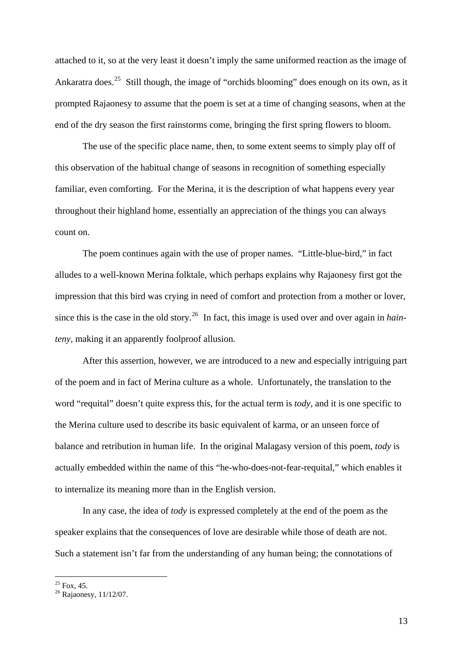attached to it, so at the very least it doesn't imply the same uniformed reaction as the image of Ankaratra does.<sup>[25](#page-13-0)</sup> Still though, the image of "orchids blooming" does enough on its own, as it prompted Rajaonesy to assume that the poem is set at a time of changing seasons, when at the end of the dry season the first rainstorms come, bringing the first spring flowers to bloom.

The use of the specific place name, then, to some extent seems to simply play off of this observation of the habitual change of seasons in recognition of something especially familiar, even comforting. For the Merina, it is the description of what happens every year throughout their highland home, essentially an appreciation of the things you can always count on.

The poem continues again with the use of proper names. "Little-blue-bird," in fact alludes to a well-known Merina folktale, which perhaps explains why Rajaonesy first got the impression that this bird was crying in need of comfort and protection from a mother or lover, since this is the case in the old story.[26](#page-13-1) In fact, this image is used over and over again in *hainteny,* making it an apparently foolproof allusion.

After this assertion, however, we are introduced to a new and especially intriguing part of the poem and in fact of Merina culture as a whole. Unfortunately, the translation to the word "requital" doesn't quite express this, for the actual term is *tody,* and it is one specific to the Merina culture used to describe its basic equivalent of karma, or an unseen force of balance and retribution in human life. In the original Malagasy version of this poem, *tody* is actually embedded within the name of this "he-who-does-not-fear-requital," which enables it to internalize its meaning more than in the English version.

In any case, the idea of *tody* is expressed completely at the end of the poem as the speaker explains that the consequences of love are desirable while those of death are not. Such a statement isn't far from the understanding of any human being; the connotations of

 $^{25}$  Fox, 45.

<span id="page-13-1"></span><span id="page-13-0"></span><sup>&</sup>lt;sup>26</sup> Rajaonesy, 11/12/07.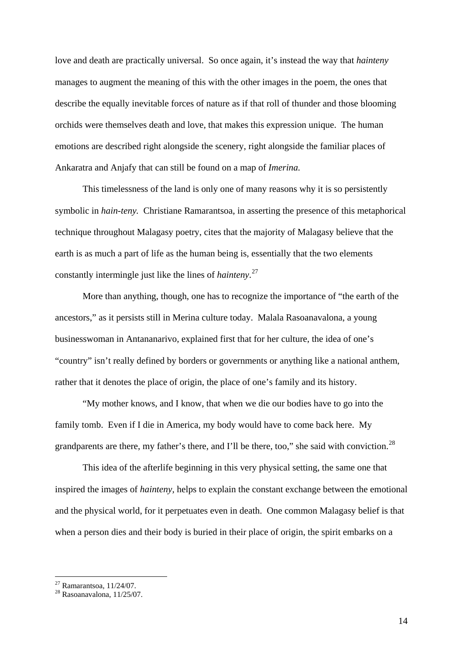love and death are practically universal. So once again, it's instead the way that *hainteny* manages to augment the meaning of this with the other images in the poem, the ones that describe the equally inevitable forces of nature as if that roll of thunder and those blooming orchids were themselves death and love, that makes this expression unique. The human emotions are described right alongside the scenery, right alongside the familiar places of Ankaratra and Anjafy that can still be found on a map of *Imerina.* 

This timelessness of the land is only one of many reasons why it is so persistently symbolic in *hain-teny.* Christiane Ramarantsoa, in asserting the presence of this metaphorical technique throughout Malagasy poetry, cites that the majority of Malagasy believe that the earth is as much a part of life as the human being is, essentially that the two elements constantly intermingle just like the lines of *hainteny*. [27](#page-14-0)

More than anything, though, one has to recognize the importance of "the earth of the ancestors," as it persists still in Merina culture today. Malala Rasoanavalona, a young businesswoman in Antananarivo, explained first that for her culture, the idea of one's "country" isn't really defined by borders or governments or anything like a national anthem, rather that it denotes the place of origin, the place of one's family and its history.

"My mother knows, and I know, that when we die our bodies have to go into the family tomb. Even if I die in America, my body would have to come back here. My grandparents are there, my father's there, and I'll be there, too," she said with conviction.<sup>[28](#page-14-1)</sup>

This idea of the afterlife beginning in this very physical setting, the same one that inspired the images of *hainteny,* helps to explain the constant exchange between the emotional and the physical world, for it perpetuates even in death. One common Malagasy belief is that when a person dies and their body is buried in their place of origin, the spirit embarks on a

<span id="page-14-0"></span> $27$  Ramarantsoa, 11/24/07.

<span id="page-14-1"></span> $28$  Rasoanavalona, 11/25/07.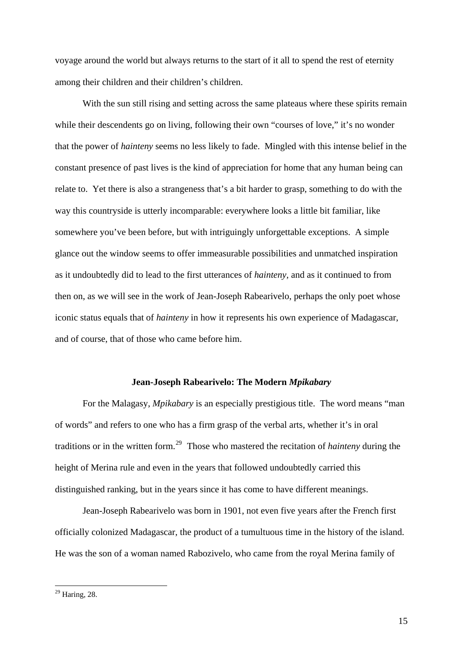voyage around the world but always returns to the start of it all to spend the rest of eternity among their children and their children's children.

With the sun still rising and setting across the same plateaus where these spirits remain while their descendents go on living, following their own "courses of love," it's no wonder that the power of *hainteny* seems no less likely to fade. Mingled with this intense belief in the constant presence of past lives is the kind of appreciation for home that any human being can relate to. Yet there is also a strangeness that's a bit harder to grasp, something to do with the way this countryside is utterly incomparable: everywhere looks a little bit familiar, like somewhere you've been before, but with intriguingly unforgettable exceptions. A simple glance out the window seems to offer immeasurable possibilities and unmatched inspiration as it undoubtedly did to lead to the first utterances of *hainteny,* and as it continued to from then on, as we will see in the work of Jean-Joseph Rabearivelo, perhaps the only poet whose iconic status equals that of *hainteny* in how it represents his own experience of Madagascar, and of course, that of those who came before him.

#### **Jean-Joseph Rabearivelo: The Modern** *Mpikabary*

 For the Malagasy, *Mpikabary* is an especially prestigious title. The word means "man of words" and refers to one who has a firm grasp of the verbal arts, whether it's in oral traditions or in the written form.[29](#page-15-0) Those who mastered the recitation of *hainteny* during the height of Merina rule and even in the years that followed undoubtedly carried this distinguished ranking, but in the years since it has come to have different meanings.

Jean-Joseph Rabearivelo was born in 1901, not even five years after the French first officially colonized Madagascar, the product of a tumultuous time in the history of the island. He was the son of a woman named Rabozivelo, who came from the royal Merina family of

<span id="page-15-0"></span> $29$  Haring, 28.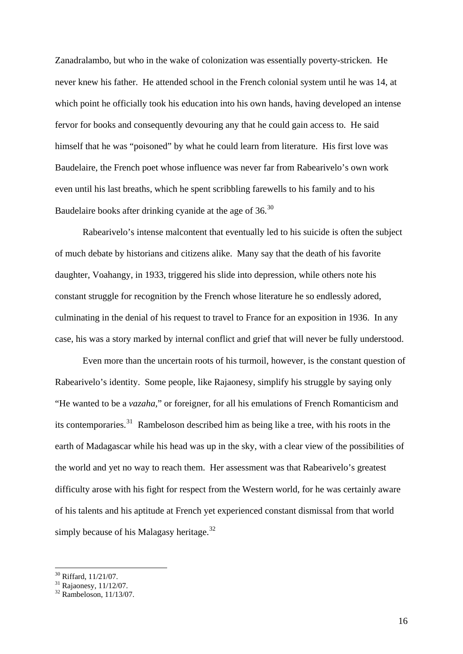Zanadralambo, but who in the wake of colonization was essentially poverty-stricken. He never knew his father. He attended school in the French colonial system until he was 14, at which point he officially took his education into his own hands, having developed an intense fervor for books and consequently devouring any that he could gain access to. He said himself that he was "poisoned" by what he could learn from literature. His first love was Baudelaire, the French poet whose influence was never far from Rabearivelo's own work even until his last breaths, which he spent scribbling farewells to his family and to his Baudelaire books after drinking cyanide at the age of  $36<sup>30</sup>$  $36<sup>30</sup>$  $36<sup>30</sup>$ 

Rabearivelo's intense malcontent that eventually led to his suicide is often the subject of much debate by historians and citizens alike. Many say that the death of his favorite daughter, Voahangy, in 1933, triggered his slide into depression, while others note his constant struggle for recognition by the French whose literature he so endlessly adored, culminating in the denial of his request to travel to France for an exposition in 1936. In any case, his was a story marked by internal conflict and grief that will never be fully understood.

Even more than the uncertain roots of his turmoil, however, is the constant question of Rabearivelo's identity. Some people, like Rajaonesy, simplify his struggle by saying only "He wanted to be a *vazaha,*" or foreigner, for all his emulations of French Romanticism and its contemporaries.<sup>[31](#page-16-1)</sup> Rambeloson described him as being like a tree, with his roots in the earth of Madagascar while his head was up in the sky, with a clear view of the possibilities of the world and yet no way to reach them. Her assessment was that Rabearivelo's greatest difficulty arose with his fight for respect from the Western world, for he was certainly aware of his talents and his aptitude at French yet experienced constant dismissal from that world simply because of his Malagasy heritage.<sup>[32](#page-16-2)</sup>

<span id="page-16-0"></span><sup>30</sup> Riffard, 11/21/07.

<span id="page-16-1"></span> $31$  Rajaonesy, 11/12/07.

<span id="page-16-2"></span> $32$  Rambeloson, 11/13/07.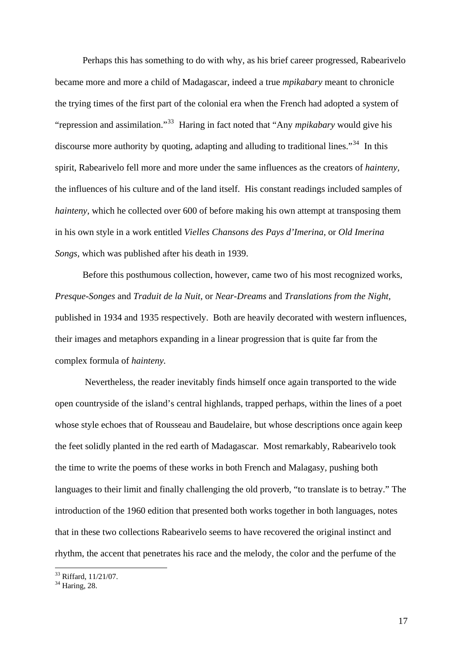Perhaps this has something to do with why, as his brief career progressed, Rabearivelo became more and more a child of Madagascar, indeed a true *mpikabary* meant to chronicle the trying times of the first part of the colonial era when the French had adopted a system of "repression and assimilation."[33](#page-17-0) Haring in fact noted that "Any *mpikabary* would give his discourse more authority by quoting, adapting and alluding to traditional lines."<sup>[34](#page-17-1)</sup> In this spirit, Rabearivelo fell more and more under the same influences as the creators of *hainteny,* the influences of his culture and of the land itself. His constant readings included samples of *hainteny*, which he collected over 600 of before making his own attempt at transposing them in his own style in a work entitled *Vielles Chansons des Pays d'Imerina,* or *Old Imerina Songs,* which was published after his death in 1939.

Before this posthumous collection, however, came two of his most recognized works, *Presque-Songes* and *Traduit de la Nuit,* or *Near-Dreams* and *Translations from the Night,*  published in 1934 and 1935 respectively.Both are heavily decorated with western influences, their images and metaphors expanding in a linear progression that is quite far from the complex formula of *hainteny.* 

Nevertheless, the reader inevitably finds himself once again transported to the wide open countryside of the island's central highlands, trapped perhaps, within the lines of a poet whose style echoes that of Rousseau and Baudelaire, but whose descriptions once again keep the feet solidly planted in the red earth of Madagascar. Most remarkably, Rabearivelo took the time to write the poems of these works in both French and Malagasy, pushing both languages to their limit and finally challenging the old proverb, "to translate is to betray." The introduction of the 1960 edition that presented both works together in both languages, notes that in these two collections Rabearivelo seems to have recovered the original instinct and rhythm, the accent that penetrates his race and the melody, the color and the perfume of the

1

<span id="page-17-0"></span><sup>33</sup> Riffard, 11/21/07.

<span id="page-17-1"></span> $34$  Haring, 28.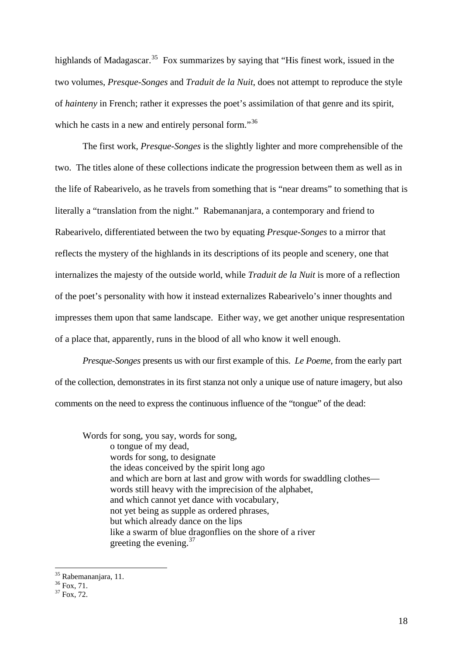highlands of Madagascar.<sup>[35](#page-18-0)</sup> Fox summarizes by saying that "His finest work, issued in the two volumes, *Presque-Songes* and *Traduit de la Nuit*, does not attempt to reproduce the style of *hainteny* in French; rather it expresses the poet's assimilation of that genre and its spirit, which he casts in a new and entirely personal form."<sup>[36](#page-18-1)</sup>

The first work, *Presque-Songes* is the slightly lighter and more comprehensible of the two. The titles alone of these collections indicate the progression between them as well as in the life of Rabearivelo, as he travels from something that is "near dreams" to something that is literally a "translation from the night." Rabemananjara, a contemporary and friend to Rabearivelo, differentiated between the two by equating *Presque-Songes* to a mirror that reflects the mystery of the highlands in its descriptions of its people and scenery, one that internalizes the majesty of the outside world, while *Traduit de la Nuit* is more of a reflection of the poet's personality with how it instead externalizes Rabearivelo's inner thoughts and impresses them upon that same landscape. Either way, we get another unique respresentation of a place that, apparently, runs in the blood of all who know it well enough.

*Presque-Songes* presents us with our first example of this. *Le Poeme,* from the early part of the collection, demonstrates in its first stanza not only a unique use of nature imagery, but also comments on the need to express the continuous influence of the "tongue" of the dead:

Words for song, you say, words for song, o tongue of my dead, words for song, to designate the ideas conceived by the spirit long ago and which are born at last and grow with words for swaddling clothes words still heavy with the imprecision of the alphabet, and which cannot yet dance with vocabulary, not yet being as supple as ordered phrases, but which already dance on the lips like a swarm of blue dragonflies on the shore of a river greeting the evening.  $37$ 

<span id="page-18-0"></span><sup>&</sup>lt;sup>35</sup> Rabemananjara, 11.

<span id="page-18-1"></span><sup>36</sup> Fox, 71.

<span id="page-18-2"></span> $37 F_{OX}$ , 72.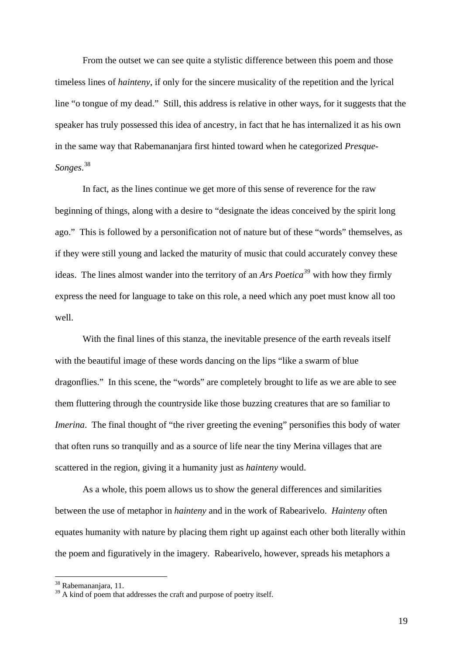From the outset we can see quite a stylistic difference between this poem and those timeless lines of *hainteny*, if only for the sincere musicality of the repetition and the lyrical line "o tongue of my dead." Still, this address is relative in other ways, for it suggests that the speaker has truly possessed this idea of ancestry, in fact that he has internalized it as his own in the same way that Rabemananjara first hinted toward when he categorized *Presque-Songes*. [38](#page-19-0)

In fact, as the lines continue we get more of this sense of reverence for the raw beginning of things, along with a desire to "designate the ideas conceived by the spirit long ago." This is followed by a personification not of nature but of these "words" themselves, as if they were still young and lacked the maturity of music that could accurately convey these ideas. The lines almost wander into the territory of an *Ars Poetica[39](#page-19-1)* with how they firmly express the need for language to take on this role, a need which any poet must know all too well.

With the final lines of this stanza, the inevitable presence of the earth reveals itself with the beautiful image of these words dancing on the lips "like a swarm of blue dragonflies." In this scene, the "words" are completely brought to life as we are able to see them fluttering through the countryside like those buzzing creatures that are so familiar to *Imerina*. The final thought of "the river greeting the evening" personifies this body of water that often runs so tranquilly and as a source of life near the tiny Merina villages that are scattered in the region, giving it a humanity just as *hainteny* would.

As a whole, this poem allows us to show the general differences and similarities between the use of metaphor in *hainteny* and in the work of Rabearivelo. *Hainteny* often equates humanity with nature by placing them right up against each other both literally within the poem and figuratively in the imagery. Rabearivelo, however, spreads his metaphors a

<span id="page-19-0"></span><sup>&</sup>lt;sup>38</sup> Rabemananjara, 11.

<span id="page-19-1"></span> $39$  A kind of poem that addresses the craft and purpose of poetry itself.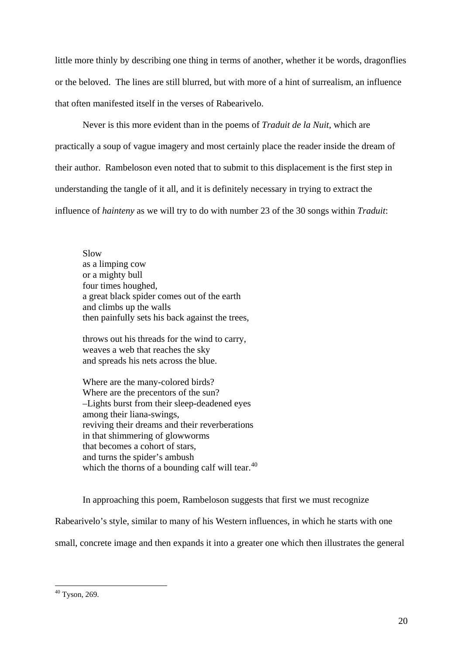little more thinly by describing one thing in terms of another, whether it be words, dragonflies or the beloved. The lines are still blurred, but with more of a hint of surrealism, an influence that often manifested itself in the verses of Rabearivelo.

Never is this more evident than in the poems of *Traduit de la Nuit,* which are practically a soup of vague imagery and most certainly place the reader inside the dream of their author. Rambeloson even noted that to submit to this displacement is the first step in understanding the tangle of it all, and it is definitely necessary in trying to extract the influence of *hainteny* as we will try to do with number 23 of the 30 songs within *Traduit*:

Slow as a limping cow or a mighty bull four times houghed, a great black spider comes out of the earth and climbs up the walls then painfully sets his back against the trees,

throws out his threads for the wind to carry, weaves a web that reaches the sky and spreads his nets across the blue.

Where are the many-colored birds? Where are the precentors of the sun? –Lights burst from their sleep-deadened eyes among their liana-swings, reviving their dreams and their reverberations in that shimmering of glowworms that becomes a cohort of stars, and turns the spider's ambush which the thorns of a bounding calf will tear. $40$ 

In approaching this poem, Rambeloson suggests that first we must recognize

Rabearivelo's style, similar to many of his Western influences, in which he starts with one

small, concrete image and then expands it into a greater one which then illustrates the general

<span id="page-20-0"></span><sup>1</sup>  $40$  Tyson, 269.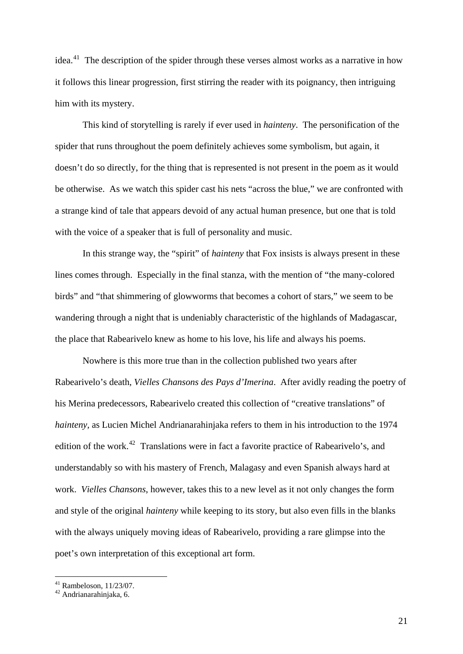idea.<sup>[41](#page-21-0)</sup> The description of the spider through these verses almost works as a narrative in how it follows this linear progression, first stirring the reader with its poignancy, then intriguing him with its mystery.

This kind of storytelling is rarely if ever used in *hainteny*. The personification of the spider that runs throughout the poem definitely achieves some symbolism, but again, it doesn't do so directly, for the thing that is represented is not present in the poem as it would be otherwise. As we watch this spider cast his nets "across the blue," we are confronted with a strange kind of tale that appears devoid of any actual human presence, but one that is told with the voice of a speaker that is full of personality and music.

In this strange way, the "spirit" of *hainteny* that Fox insists is always present in these lines comes through. Especially in the final stanza, with the mention of "the many-colored birds" and "that shimmering of glowworms that becomes a cohort of stars," we seem to be wandering through a night that is undeniably characteristic of the highlands of Madagascar, the place that Rabearivelo knew as home to his love, his life and always his poems.

Nowhere is this more true than in the collection published two years after Rabearivelo's death, *Vielles Chansons des Pays d'Imerina*. After avidly reading the poetry of his Merina predecessors, Rabearivelo created this collection of "creative translations" of *hainteny,* as Lucien Michel Andrianarahinjaka refers to them in his introduction to the 1974 edition of the work.<sup>[42](#page-21-1)</sup> Translations were in fact a favorite practice of Rabearivelo's, and understandably so with his mastery of French, Malagasy and even Spanish always hard at work. *Vielles Chansons*, however, takes this to a new level as it not only changes the form and style of the original *hainteny* while keeping to its story, but also even fills in the blanks with the always uniquely moving ideas of Rabearivelo, providing a rare glimpse into the poet's own interpretation of this exceptional art form.

<span id="page-21-0"></span> $41$  Rambeloson,  $11/23/07$ .

<span id="page-21-1"></span> $42$  Andrianarahinjaka, 6.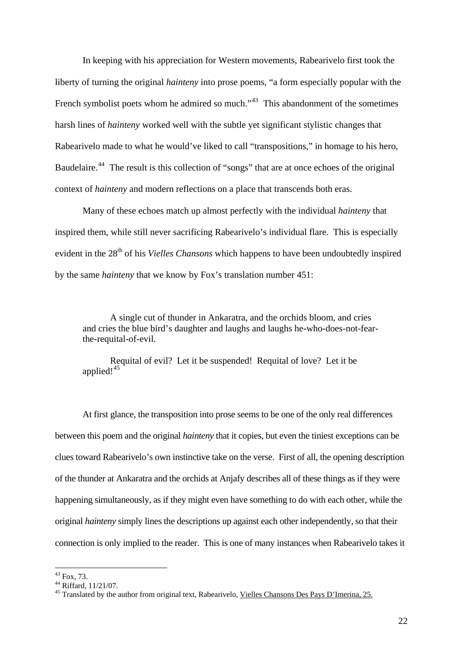In keeping with his appreciation for Western movements, Rabearivelo first took the liberty of turning the original *hainteny* into prose poems, "a form especially popular with the French symbolist poets whom he admired so much."<sup>[43](#page-22-0)</sup> This abandonment of the sometimes harsh lines of *hainteny* worked well with the subtle yet significant stylistic changes that Rabearivelo made to what he would've liked to call "transpositions," in homage to his hero, Baudelaire.<sup>[44](#page-22-1)</sup> The result is this collection of "songs" that are at once echoes of the original context of *hainteny* and modern reflections on a place that transcends both eras.

Many of these echoes match up almost perfectly with the individual *hainteny* that inspired them, while still never sacrificing Rabearivelo's individual flare. This is especially evident in the 28<sup>th</sup> of his *Vielles Chansons* which happens to have been undoubtedly inspired by the same *hainteny* that we know by Fox's translation number 451:

A single cut of thunder in Ankaratra, and the orchids bloom, and cries and cries the blue bird's daughter and laughs and laughs he-who-does-not-fearthe-requital-of-evil.

Requital of evil? Let it be suspended! Requital of love? Let it be applied!<sup>[45](#page-22-2)</sup>

At first glance, the transposition into prose seems to be one of the only real differences between this poem and the original *hainteny* that it copies, but even the tiniest exceptions can be clues toward Rabearivelo's own instinctive take on the verse. First of all, the opening description of the thunder at Ankaratra and the orchids at Anjafy describes all of these things as if they were happening simultaneously, as if they might even have something to do with each other, while the original *hainteny* simply lines the descriptions up against each other independently, so that their connection is only implied to the reader. This is one of many instances when Rabearivelo takes it

<span id="page-22-0"></span><sup>43</sup> Fox, 73.

<sup>44</sup> Riffard, 11/21/07.

<span id="page-22-2"></span><span id="page-22-1"></span><sup>&</sup>lt;sup>45</sup> Translated by the author from original text, Rabearivelo, <u>Vielles Chansons Des Pays D'Imerina, 25.</u>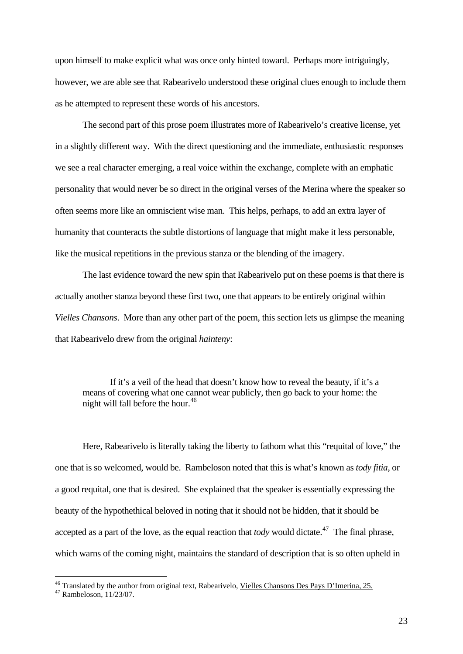upon himself to make explicit what was once only hinted toward. Perhaps more intriguingly, however, we are able see that Rabearivelo understood these original clues enough to include them as he attempted to represent these words of his ancestors.

The second part of this prose poem illustrates more of Rabearivelo's creative license, yet in a slightly different way. With the direct questioning and the immediate, enthusiastic responses we see a real character emerging, a real voice within the exchange, complete with an emphatic personality that would never be so direct in the original verses of the Merina where the speaker so often seems more like an omniscient wise man. This helps, perhaps, to add an extra layer of humanity that counteracts the subtle distortions of language that might make it less personable, like the musical repetitions in the previous stanza or the blending of the imagery.

The last evidence toward the new spin that Rabearivelo put on these poems is that there is actually another stanza beyond these first two, one that appears to be entirely original within *Vielles Chansons*. More than any other part of the poem, this section lets us glimpse the meaning that Rabearivelo drew from the original *hainteny*:

If it's a veil of the head that doesn't know how to reveal the beauty, if it's a means of covering what one cannot wear publicly, then go back to your home: the night will fall before the hour.<sup>[46](#page-23-0)</sup>

Here, Rabearivelo is literally taking the liberty to fathom what this "requital of love," the one that is so welcomed, would be. Rambeloson noted that this is what's known as *tody fitia*, or a good requital, one that is desired. She explained that the speaker is essentially expressing the beauty of the hypothethical beloved in noting that it should not be hidden, that it should be accepted as a part of the love, as the equal reaction that *tody* would dictate.<sup>[47](#page-23-1)</sup> The final phrase. which warns of the coming night, maintains the standard of description that is so often upheld in

<span id="page-23-0"></span><sup>&</sup>lt;sup>46</sup> Translated by the author from original text, Rabearivelo, <u>Vielles Chansons Des Pays D'Imerina, 25.</u>  $^{47}$  Rambeloson, 11/23/07.

<span id="page-23-1"></span>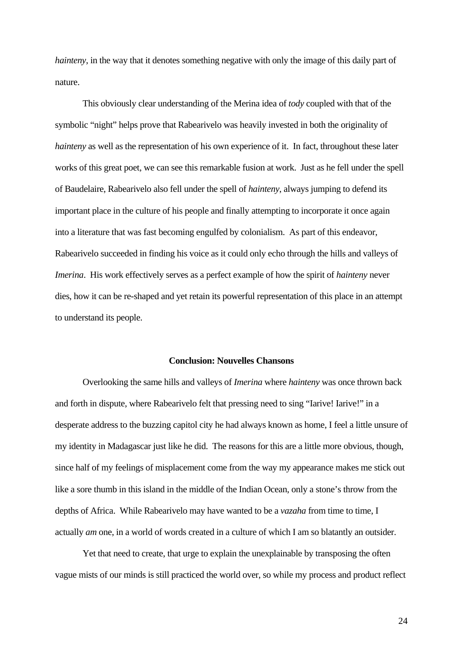*hainteny*, in the way that it denotes something negative with only the image of this daily part of nature.

This obviously clear understanding of the Merina idea of *tody* coupled with that of the symbolic "night" helps prove that Rabearivelo was heavily invested in both the originality of *hainteny* as well as the representation of his own experience of it. In fact, throughout these later works of this great poet, we can see this remarkable fusion at work. Just as he fell under the spell of Baudelaire, Rabearivelo also fell under the spell of *hainteny*, always jumping to defend its important place in the culture of his people and finally attempting to incorporate it once again into a literature that was fast becoming engulfed by colonialism. As part of this endeavor, Rabearivelo succeeded in finding his voice as it could only echo through the hills and valleys of *Imerina*. His work effectively serves as a perfect example of how the spirit of *hainteny* never dies, how it can be re-shaped and yet retain its powerful representation of this place in an attempt to understand its people.

### **Conclusion: Nouvelles Chansons**

Overlooking the same hills and valleys of *Imerina* where *hainteny* was once thrown back and forth in dispute, where Rabearivelo felt that pressing need to sing "Iarive! Iarive!" in a desperate address to the buzzing capitol city he had always known as home, I feel a little unsure of my identity in Madagascar just like he did. The reasons for this are a little more obvious, though, since half of my feelings of misplacement come from the way my appearance makes me stick out like a sore thumb in this island in the middle of the Indian Ocean, only a stone's throw from the depths of Africa. While Rabearivelo may have wanted to be a *vazaha* from time to time, I actually *am* one, in a world of words created in a culture of which I am so blatantly an outsider.

 Yet that need to create, that urge to explain the unexplainable by transposing the often vague mists of our minds is still practiced the world over, so while my process and product reflect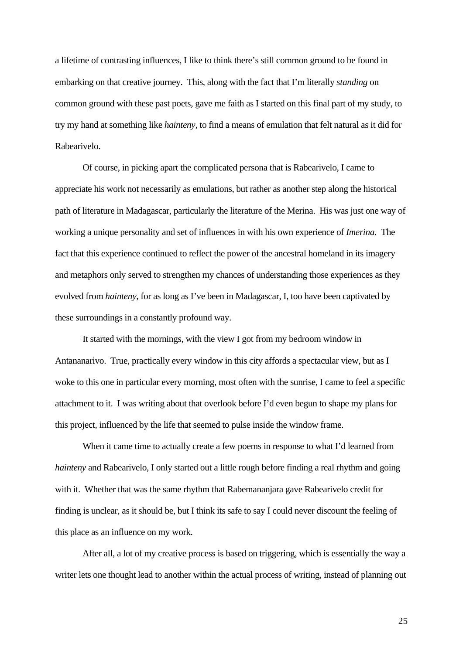a lifetime of contrasting influences, I like to think there's still common ground to be found in embarking on that creative journey. This, along with the fact that I'm literally *standing* on common ground with these past poets, gave me faith as I started on this final part of my study, to try my hand at something like *hainteny,* to find a means of emulation that felt natural as it did for Rabearivelo.

 Of course, in picking apart the complicated persona that is Rabearivelo, I came to appreciate his work not necessarily as emulations, but rather as another step along the historical path of literature in Madagascar, particularly the literature of the Merina. His was just one way of working a unique personality and set of influences in with his own experience of *Imerina.* The fact that this experience continued to reflect the power of the ancestral homeland in its imagery and metaphors only served to strengthen my chances of understanding those experiences as they evolved from *hainteny*, for as long as I've been in Madagascar, I, too have been captivated by these surroundings in a constantly profound way.

 It started with the mornings, with the view I got from my bedroom window in Antananarivo. True, practically every window in this city affords a spectacular view, but as I woke to this one in particular every morning, most often with the sunrise, I came to feel a specific attachment to it. I was writing about that overlook before I'd even begun to shape my plans for this project, influenced by the life that seemed to pulse inside the window frame.

When it came time to actually create a few poems in response to what I'd learned from *hainteny* and Rabearivelo, I only started out a little rough before finding a real rhythm and going with it. Whether that was the same rhythm that Rabemananjara gave Rabearivelo credit for finding is unclear, as it should be, but I think its safe to say I could never discount the feeling of this place as an influence on my work.

 After all, a lot of my creative process is based on triggering, which is essentially the way a writer lets one thought lead to another within the actual process of writing, instead of planning out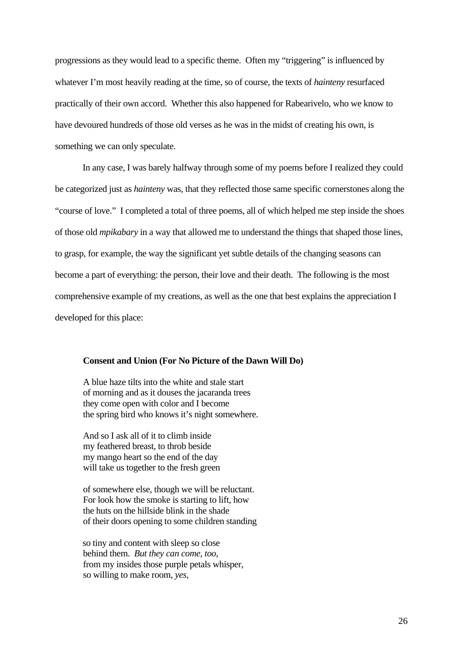progressions as they would lead to a specific theme. Often my "triggering" is influenced by whatever I'm most heavily reading at the time, so of course, the texts of *hainteny* resurfaced practically of their own accord. Whether this also happened for Rabearivelo, who we know to have devoured hundreds of those old verses as he was in the midst of creating his own, is something we can only speculate.

 In any case, I was barely halfway through some of my poems before I realized they could be categorized just as *hainteny* was, that they reflected those same specific cornerstones along the "course of love." I completed a total of three poems, all of which helped me step inside the shoes of those old *mpikabary* in a way that allowed me to understand the things that shaped those lines, to grasp, for example, the way the significant yet subtle details of the changing seasons can become a part of everything: the person, their love and their death. The following is the most comprehensive example of my creations, as well as the one that best explains the appreciation I developed for this place:

## **Consent and Union (For No Picture of the Dawn Will Do)**

A blue haze tilts into the white and stale start of morning and as it douses the jacaranda trees they come open with color and I become the spring bird who knows it's night somewhere.

And so I ask all of it to climb inside my feathered breast, to throb beside my mango heart so the end of the day will take us together to the fresh green

of somewhere else, though we will be reluctant. For look how the smoke is starting to lift, how the huts on the hillside blink in the shade of their doors opening to some children standing

so tiny and content with sleep so close behind them. *But they can come, too,*  from my insides those purple petals whisper, so willing to make room, *yes,*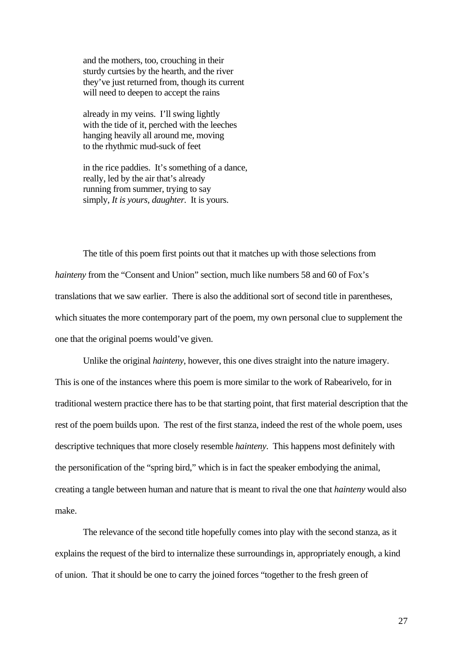and the mothers, too, crouching in their sturdy curtsies by the hearth, and the river they've just returned from, though its current will need to deepen to accept the rains

already in my veins. I'll swing lightly with the tide of it, perched with the leeches hanging heavily all around me, moving to the rhythmic mud-suck of feet

in the rice paddies. It's something of a dance, really, led by the air that's already running from summer, trying to say simply, *It is yours, daughter.* It is yours.

The title of this poem first points out that it matches up with those selections from *hainteny* from the "Consent and Union" section, much like numbers 58 and 60 of Fox's translations that we saw earlier. There is also the additional sort of second title in parentheses, which situates the more contemporary part of the poem, my own personal clue to supplement the one that the original poems would've given.

Unlike the original *hainteny*, however, this one dives straight into the nature imagery. This is one of the instances where this poem is more similar to the work of Rabearivelo, for in traditional western practice there has to be that starting point, that first material description that the rest of the poem builds upon. The rest of the first stanza, indeed the rest of the whole poem, uses descriptive techniques that more closely resemble *hainteny*.This happens most definitely with the personification of the "spring bird," which is in fact the speaker embodying the animal, creating a tangle between human and nature that is meant to rival the one that *hainteny* would also make.

The relevance of the second title hopefully comes into play with the second stanza, as it explains the request of the bird to internalize these surroundings in, appropriately enough, a kind of union. That it should be one to carry the joined forces "together to the fresh green of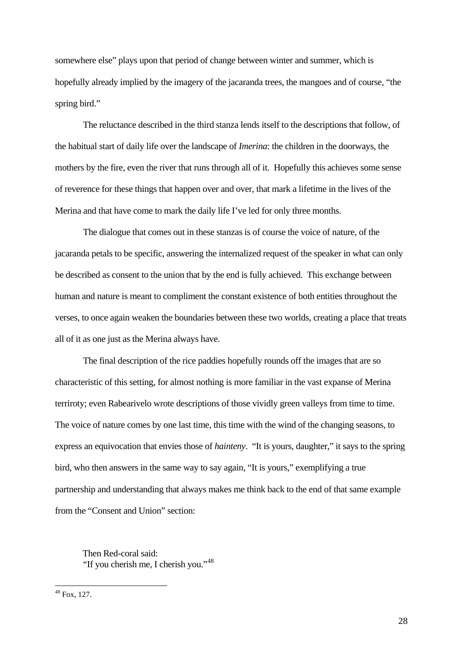somewhere else" plays upon that period of change between winter and summer, which is hopefully already implied by the imagery of the jacaranda trees, the mangoes and of course, "the spring bird."

The reluctance described in the third stanza lends itself to the descriptions that follow, of the habitual start of daily life over the landscape of *Imerina*: the children in the doorways, the mothers by the fire, even the river that runs through all of it. Hopefully this achieves some sense of reverence for these things that happen over and over, that mark a lifetime in the lives of the Merina and that have come to mark the daily life I've led for only three months.

The dialogue that comes out in these stanzas is of course the voice of nature, of the jacaranda petals to be specific, answering the internalized request of the speaker in what can only be described as consent to the union that by the end is fully achieved. This exchange between human and nature is meant to compliment the constant existence of both entities throughout the verses, to once again weaken the boundaries between these two worlds, creating a place that treats all of it as one just as the Merina always have.

The final description of the rice paddies hopefully rounds off the images that are so characteristic of this setting, for almost nothing is more familiar in the vast expanse of Merina terriroty; even Rabearivelo wrote descriptions of those vividly green valleys from time to time. The voice of nature comes by one last time, this time with the wind of the changing seasons, to express an equivocation that envies those of *hainteny*. "It is yours, daughter," it says to the spring bird, who then answers in the same way to say again, "It is yours," exemplifying a true partnership and understanding that always makes me think back to the end of that same example from the "Consent and Union" section:

Then Red-coral said: "If you cherish me, I cherish you."<sup>[48](#page-28-0)</sup>

<span id="page-28-0"></span> $48$  Fox, 127.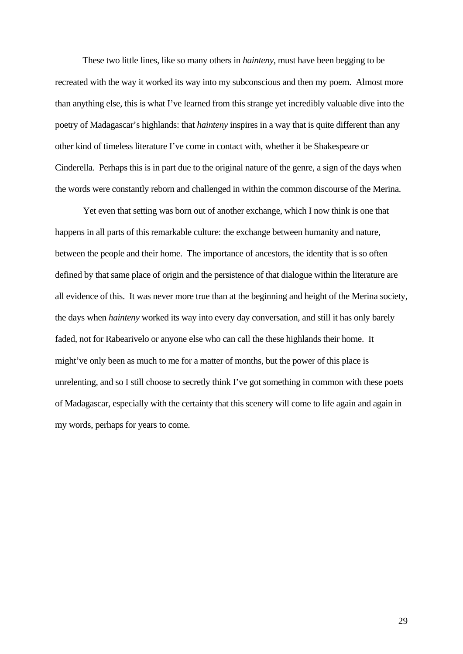These two little lines, like so many others in *hainteny,* must have been begging to be recreated with the way it worked its way into my subconscious and then my poem. Almost more than anything else, this is what I've learned from this strange yet incredibly valuable dive into the poetry of Madagascar's highlands: that *hainteny* inspires in a way that is quite different than any other kind of timeless literature I've come in contact with, whether it be Shakespeare or Cinderella. Perhaps this is in part due to the original nature of the genre, a sign of the days when the words were constantly reborn and challenged in within the common discourse of the Merina.

Yet even that setting was born out of another exchange, which I now think is one that happens in all parts of this remarkable culture: the exchange between humanity and nature, between the people and their home. The importance of ancestors, the identity that is so often defined by that same place of origin and the persistence of that dialogue within the literature are all evidence of this. It was never more true than at the beginning and height of the Merina society, the days when *hainteny* worked its way into every day conversation, and still it has only barely faded, not for Rabearivelo or anyone else who can call the these highlands their home. It might've only been as much to me for a matter of months, but the power of this place is unrelenting, and so I still choose to secretly think I've got something in common with these poets of Madagascar, especially with the certainty that this scenery will come to life again and again in my words, perhaps for years to come.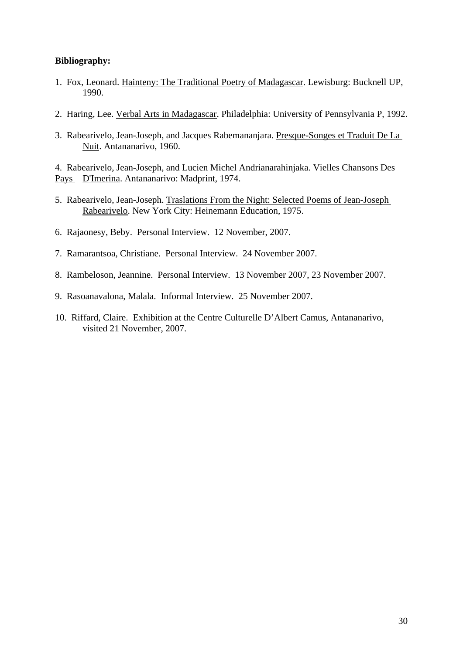# **Bibliography:**

- 1. Fox, Leonard. Hainteny: The Traditional Poetry of Madagascar. Lewisburg: Bucknell UP, 1990.
- 2. Haring, Lee. Verbal Arts in Madagascar. Philadelphia: University of Pennsylvania P, 1992.
- 3. Rabearivelo, Jean-Joseph, and Jacques Rabemananjara. Presque-Songes et Traduit De La Nuit. Antananarivo, 1960.

4. Rabearivelo, Jean-Joseph, and Lucien Michel Andrianarahinjaka. Vielles Chansons Des Pays D'Imerina. Antananarivo: Madprint, 1974.

- 5. Rabearivelo, Jean-Joseph. Traslations From the Night: Selected Poems of Jean-Joseph Rabearivelo. New York City: Heinemann Education, 1975.
- 6. Rajaonesy, Beby. Personal Interview. 12 November, 2007.
- 7. Ramarantsoa, Christiane. Personal Interview. 24 November 2007.
- 8. Rambeloson, Jeannine. Personal Interview. 13 November 2007, 23 November 2007.
- 9. Rasoanavalona, Malala. Informal Interview. 25 November 2007.
- 10. Riffard, Claire. Exhibition at the Centre Culturelle D'Albert Camus, Antananarivo, visited 21 November, 2007.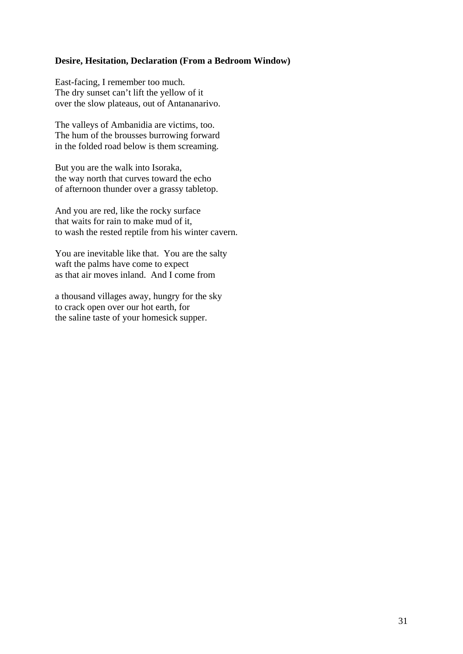## **Desire, Hesitation, Declaration (From a Bedroom Window)**

East-facing, I remember too much. The dry sunset can't lift the yellow of it over the slow plateaus, out of Antananarivo.

The valleys of Ambanidia are victims, too. The hum of the brousses burrowing forward in the folded road below is them screaming.

But you are the walk into Isoraka, the way north that curves toward the echo of afternoon thunder over a grassy tabletop.

And you are red, like the rocky surface that waits for rain to make mud of it, to wash the rested reptile from his winter cavern.

You are inevitable like that. You are the salty waft the palms have come to expect as that air moves inland. And I come from

a thousand villages away, hungry for the sky to crack open over our hot earth, for the saline taste of your homesick supper.